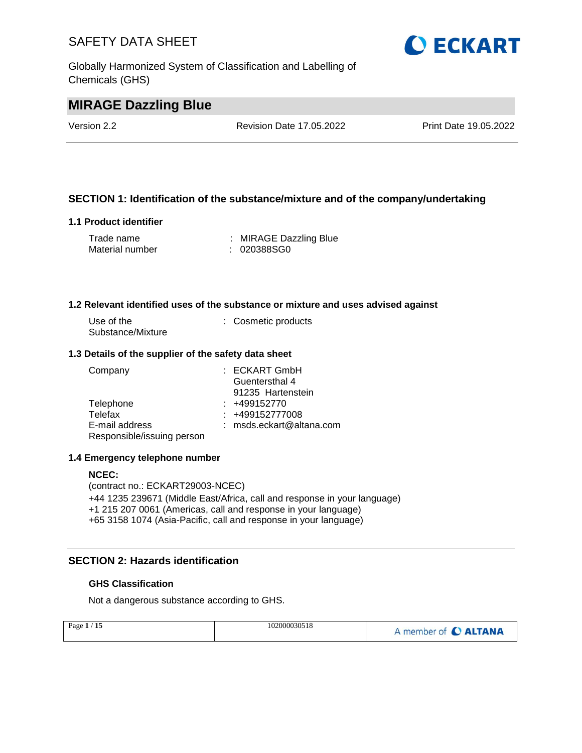Globally Harmonized System of Classification and Labelling of Chemicals (GHS)



# **MIRAGE Dazzling Blue**

Version 2.2 Revision Date 17.05.2022 Print Date 19.05.2022

## **SECTION 1: Identification of the substance/mixture and of the company/undertaking**

#### **1.1 Product identifier**

| Trade name      | : MIRAGE Dazzling Blue |
|-----------------|------------------------|
| Material number | : 020388SG0            |

#### **1.2 Relevant identified uses of the substance or mixture and uses advised against**

| Use of the        | : Cosmetic products |
|-------------------|---------------------|
| Substance/Mixture |                     |

#### **1.3 Details of the supplier of the safety data sheet**

| Company                    | $:$ ECKART GmbH          |
|----------------------------|--------------------------|
|                            | Guentersthal 4           |
|                            | 91235 Hartenstein        |
| Telephone                  | $: +499152770$           |
| Telefax                    | $: +499152777008$        |
| E-mail address             | : msds.eckart@altana.com |
| Responsible/issuing person |                          |

#### **1.4 Emergency telephone number**

#### **NCEC:**

(contract no.: ECKART29003-NCEC) +44 1235 239671 (Middle East/Africa, call and response in your language) +1 215 207 0061 (Americas, call and response in your language) +65 3158 1074 (Asia-Pacific, call and response in your language)

# **SECTION 2: Hazards identification**

#### **GHS Classification**

Not a dangerous substance according to GHS.

| Page $1/15$ | 102000030518 | A member of C ALTANA |
|-------------|--------------|----------------------|
|             |              |                      |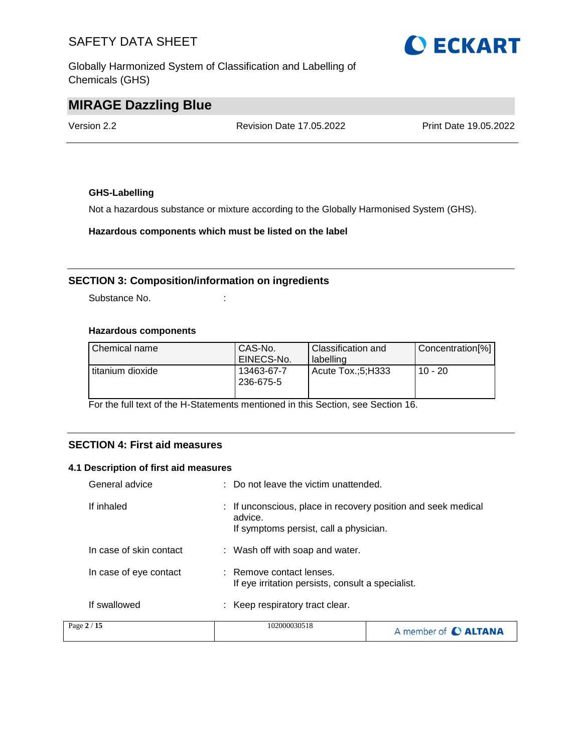Globally Harmonized System of Classification and Labelling of Chemicals (GHS)



# **MIRAGE Dazzling Blue**

Version 2.2 Revision Date 17.05.2022 Print Date 19.05.2022

## **GHS-Labelling**

Not a hazardous substance or mixture according to the Globally Harmonised System (GHS).

**Hazardous components which must be listed on the label**

## **SECTION 3: Composition/information on ingredients**

Substance No. **:**  $\qquad \qquad$  :

#### **Hazardous components**

| Chemical name    | CAS-No.<br>EINECS-No.   | Classification and<br>labelling | Concentration[%] |
|------------------|-------------------------|---------------------------------|------------------|
| titanium dioxide | 13463-67-7<br>236-675-5 | Acute Tox.:5:H333               | $10 - 20$        |

For the full text of the H-Statements mentioned in this Section, see Section 16.

### **SECTION 4: First aid measures**

#### **4.1 Description of first aid measures**

| Page 2 / 15             | 102000030518                                                                                                       | A member of C ALTANA |
|-------------------------|--------------------------------------------------------------------------------------------------------------------|----------------------|
| If swallowed            | : Keep respiratory tract clear.                                                                                    |                      |
| In case of eye contact  | : Remove contact lenses.<br>If eye irritation persists, consult a specialist.                                      |                      |
| In case of skin contact | : Wash off with soap and water.                                                                                    |                      |
| If inhaled              | : If unconscious, place in recovery position and seek medical<br>advice.<br>If symptoms persist, call a physician. |                      |
| General advice          | : Do not leave the victim unattended.                                                                              |                      |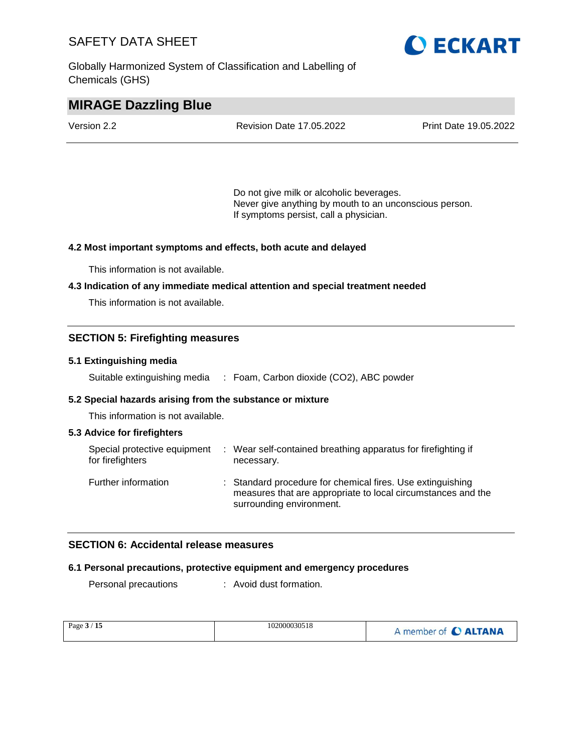Globally Harmonized System of Classification and Labelling of Chemicals (GHS)



# **MIRAGE Dazzling Blue**

| Version 2.2 | <b>Revision Date 17.05.2022</b> | Print Date 19.05.2022 |
|-------------|---------------------------------|-----------------------|
|             |                                 |                       |

Do not give milk or alcoholic beverages. Never give anything by mouth to an unconscious person. If symptoms persist, call a physician.

#### **4.2 Most important symptoms and effects, both acute and delayed**

This information is not available.

#### **4.3 Indication of any immediate medical attention and special treatment needed**

This information is not available.

### **SECTION 5: Firefighting measures**

#### **5.1 Extinguishing media**

Suitable extinguishing media : Foam, Carbon dioxide (CO2), ABC powder

#### **5.2 Special hazards arising from the substance or mixture**

This information is not available.

#### **5.3 Advice for firefighters**

| Special protective equipment<br>for firefighters | : Wear self-contained breathing apparatus for firefighting if<br>necessary.                                                                            |
|--------------------------------------------------|--------------------------------------------------------------------------------------------------------------------------------------------------------|
| Further information                              | : Standard procedure for chemical fires. Use extinguishing<br>measures that are appropriate to local circumstances and the<br>surrounding environment. |

## **SECTION 6: Accidental release measures**

#### **6.1 Personal precautions, protective equipment and emergency procedures**

Personal precautions : Avoid dust formation.

| Page $3/15$ | 102000030518 | A member of C ALTANA |
|-------------|--------------|----------------------|
|-------------|--------------|----------------------|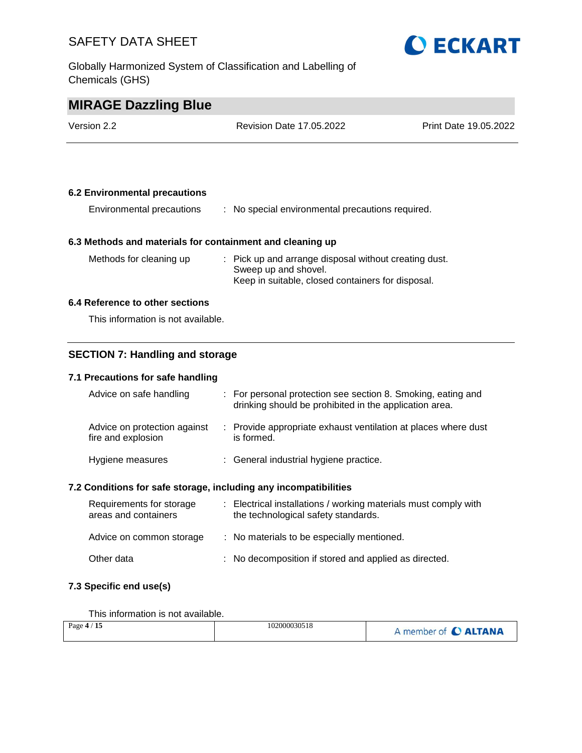Globally Harmonized System of Classification and Labelling of Chemicals (GHS)



# **MIRAGE Dazzling Blue**

| Version 2.2 | <b>Revision Date 17.05.2022</b> | <b>Print Date 19.05.2022</b> |
|-------------|---------------------------------|------------------------------|
|             |                                 |                              |

#### **6.2 Environmental precautions**

| Environmental precautions |  | No special environmental precautions required. |
|---------------------------|--|------------------------------------------------|
|---------------------------|--|------------------------------------------------|

#### **6.3 Methods and materials for containment and cleaning up**

| Methods for cleaning up | : Pick up and arrange disposal without creating dust. |
|-------------------------|-------------------------------------------------------|
|                         | Sweep up and shovel.                                  |
|                         | Keep in suitable, closed containers for disposal.     |

#### **6.4 Reference to other sections**

This information is not available.

## **SECTION 7: Handling and storage**

#### **7.1 Precautions for safe handling**

| Advice on safe handling                            | : For personal protection see section 8. Smoking, eating and<br>drinking should be prohibited in the application area. |  |
|----------------------------------------------------|------------------------------------------------------------------------------------------------------------------------|--|
| Advice on protection against<br>fire and explosion | : Provide appropriate exhaust ventilation at places where dust<br>is formed.                                           |  |
| Hygiene measures                                   | : General industrial hygiene practice.                                                                                 |  |
|                                                    |                                                                                                                        |  |

## **7.2 Conditions for safe storage, including any incompatibilities**

| Requirements for storage<br>areas and containers | : Electrical installations / working materials must comply with<br>the technological safety standards. |
|--------------------------------------------------|--------------------------------------------------------------------------------------------------------|
| Advice on common storage                         | : No materials to be especially mentioned.                                                             |
| Other data                                       | : No decomposition if stored and applied as directed.                                                  |

## **7.3 Specific end use(s)**

This information is not available.

| Page $4/15$ | 102000030518<br>A member of C ALTANA |
|-------------|--------------------------------------|
|-------------|--------------------------------------|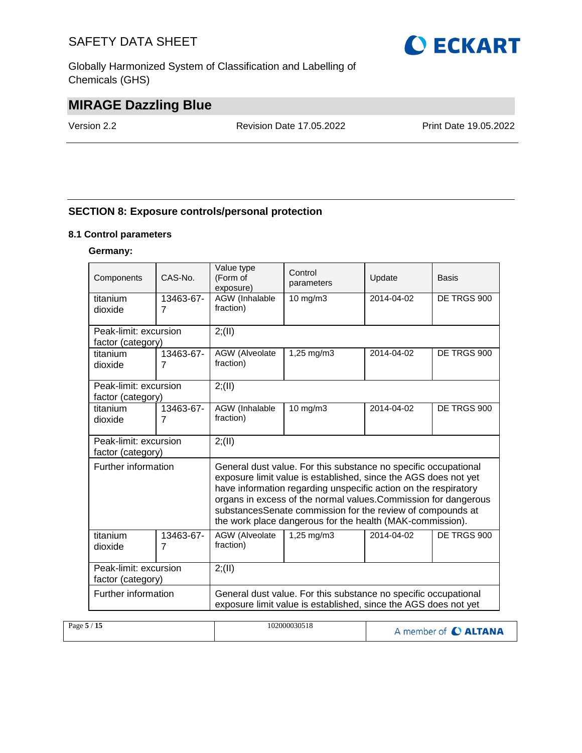Globally Harmonized System of Classification and Labelling of Chemicals (GHS)



# **MIRAGE Dazzling Blue**

Version 2.2 Revision Date 17.05.2022 Print Date 19.05.2022

# **SECTION 8: Exposure controls/personal protection**

#### **8.1 Control parameters**

#### **Germany:**

| Components                                                                                                                                                | CAS-No.        | Value type<br>Control<br>(Form of<br>parameters<br>exposure) |                                                                                                                                                                                                                                                                                                                                                                                                     | Update     | <b>Basis</b> |  |  |  |  |
|-----------------------------------------------------------------------------------------------------------------------------------------------------------|----------------|--------------------------------------------------------------|-----------------------------------------------------------------------------------------------------------------------------------------------------------------------------------------------------------------------------------------------------------------------------------------------------------------------------------------------------------------------------------------------------|------------|--------------|--|--|--|--|
| titanium                                                                                                                                                  | 13463-67-      | AGW (Inhalable<br>10 mg/m3                                   |                                                                                                                                                                                                                                                                                                                                                                                                     | 2014-04-02 | DE TRGS 900  |  |  |  |  |
| dioxide                                                                                                                                                   | $\overline{7}$ | fraction)                                                    |                                                                                                                                                                                                                                                                                                                                                                                                     |            |              |  |  |  |  |
| Peak-limit: excursion                                                                                                                                     |                | 2; (II)                                                      |                                                                                                                                                                                                                                                                                                                                                                                                     |            |              |  |  |  |  |
| factor (category)                                                                                                                                         |                |                                                              |                                                                                                                                                                                                                                                                                                                                                                                                     |            |              |  |  |  |  |
| titanium                                                                                                                                                  | 13463-67-      | AGW (Alveolate                                               | 1,25 mg/m3                                                                                                                                                                                                                                                                                                                                                                                          | 2014-04-02 | DE TRGS 900  |  |  |  |  |
| dioxide                                                                                                                                                   | $\overline{7}$ | fraction)                                                    |                                                                                                                                                                                                                                                                                                                                                                                                     |            |              |  |  |  |  |
| Peak-limit: excursion                                                                                                                                     |                | 2; (II)                                                      |                                                                                                                                                                                                                                                                                                                                                                                                     |            |              |  |  |  |  |
| factor (category)                                                                                                                                         |                |                                                              |                                                                                                                                                                                                                                                                                                                                                                                                     |            |              |  |  |  |  |
| titanium                                                                                                                                                  | 13463-67-      | AGW (Inhalable                                               | $10$ mg/m $3$                                                                                                                                                                                                                                                                                                                                                                                       | 2014-04-02 | DE TRGS 900  |  |  |  |  |
| dioxide                                                                                                                                                   | $\overline{7}$ | fraction)                                                    |                                                                                                                                                                                                                                                                                                                                                                                                     |            |              |  |  |  |  |
| Peak-limit: excursion                                                                                                                                     |                | 2; (II)                                                      |                                                                                                                                                                                                                                                                                                                                                                                                     |            |              |  |  |  |  |
| factor (category)                                                                                                                                         |                |                                                              |                                                                                                                                                                                                                                                                                                                                                                                                     |            |              |  |  |  |  |
| Further information                                                                                                                                       |                |                                                              | General dust value. For this substance no specific occupational<br>exposure limit value is established, since the AGS does not yet<br>have information regarding unspecific action on the respiratory<br>organs in excess of the normal values. Commission for dangerous<br>substancesSenate commission for the review of compounds at<br>the work place dangerous for the health (MAK-commission). |            |              |  |  |  |  |
| titanium                                                                                                                                                  | 13463-67-      | AGW (Alveolate<br>fraction)                                  | $1,25 \,\mathrm{mq/m3}$                                                                                                                                                                                                                                                                                                                                                                             | 2014-04-02 | DE TRGS 900  |  |  |  |  |
| dioxide                                                                                                                                                   | $\overline{7}$ |                                                              |                                                                                                                                                                                                                                                                                                                                                                                                     |            |              |  |  |  |  |
| Peak-limit: excursion                                                                                                                                     |                | 2; (II)                                                      |                                                                                                                                                                                                                                                                                                                                                                                                     |            |              |  |  |  |  |
| factor (category)                                                                                                                                         |                |                                                              |                                                                                                                                                                                                                                                                                                                                                                                                     |            |              |  |  |  |  |
| Further information<br>General dust value. For this substance no specific occupational<br>exposure limit value is established, since the AGS does not yet |                |                                                              |                                                                                                                                                                                                                                                                                                                                                                                                     |            |              |  |  |  |  |

| Page $5/15$ | 102000030518 | A member of C ALTANA |
|-------------|--------------|----------------------|
|-------------|--------------|----------------------|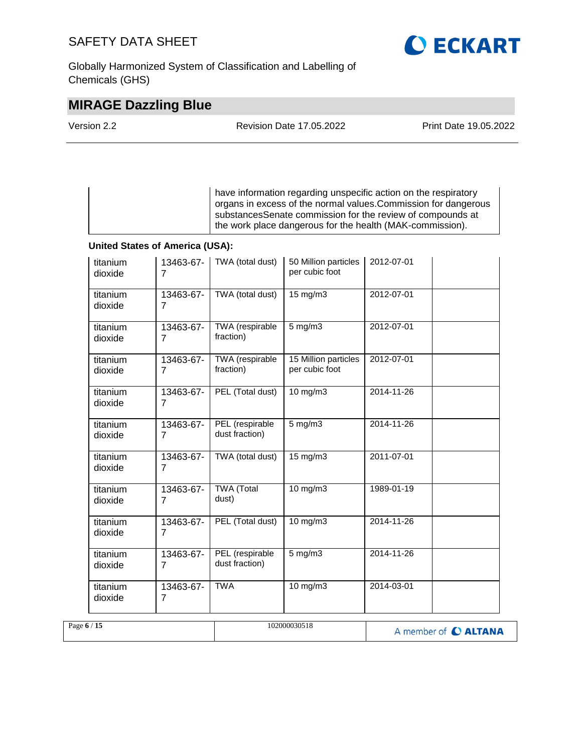Globally Harmonized System of Classification and Labelling of Chemicals (GHS)

# **O ECKART**

# **MIRAGE Dazzling Blue**

| Version 2.2 | <b>Revision Date 17.05.2022</b> | <b>Print Date 19.05.2022</b> |
|-------------|---------------------------------|------------------------------|
|             |                                 |                              |

have information regarding unspecific action on the respiratory organs in excess of the normal values.Commission for dangerous substancesSenate commission for the review of compounds at the work place dangerous for the health (MAK-commission).

### **United States of America (USA):**

| titanium<br>dioxide | 13463-67-<br>$\overline{7}$ | TWA (total dust)                  | 50 Million particles<br>per cubic foot | 2012-07-01           |  |
|---------------------|-----------------------------|-----------------------------------|----------------------------------------|----------------------|--|
| titanium<br>dioxide | 13463-67-<br>$\overline{7}$ | TWA (total dust)                  | $15 \text{ mg/m}$                      | 2012-07-01           |  |
| titanium<br>dioxide | 13463-67-<br>7              | TWA (respirable<br>fraction)      | $5$ mg/m $3$                           | $2012 - 07 - 01$     |  |
| titanium<br>dioxide | 13463-67-<br>7              | TWA (respirable<br>fraction)      | 15 Million particles<br>per cubic foot | 2012-07-01           |  |
| titanium<br>dioxide | 13463-67-<br>$\overline{7}$ | PEL (Total dust)                  | 10 mg/m3                               | 2014-11-26           |  |
| titanium<br>dioxide | 13463-67-<br>$\overline{7}$ | PEL (respirable<br>dust fraction) | $5$ mg/m $3$                           | 2014-11-26           |  |
| titanium<br>dioxide | 13463-67-<br>$\overline{7}$ | TWA (total dust)                  | 15 mg/m3                               | 2011-07-01           |  |
| titanium<br>dioxide | 13463-67-<br>7              | <b>TWA</b> (Total<br>dust)        | 10 mg/m3                               | 1989-01-19           |  |
| titanium<br>dioxide | 13463-67-<br>$\overline{7}$ | PEL (Total dust)                  | 10 mg/m3                               | 2014-11-26           |  |
| titanium<br>dioxide | 13463-67-<br>$\overline{7}$ | PEL (respirable<br>dust fraction) | $5$ mg/m $3$                           | 2014-11-26           |  |
| titanium<br>dioxide | 13463-67-<br>7              | <b>TWA</b>                        | $10$ mg/m $3$                          | $2014 - 03 - 01$     |  |
| Page 6 / 15         |                             |                                   | 102000030518                           | A member of C ALTANA |  |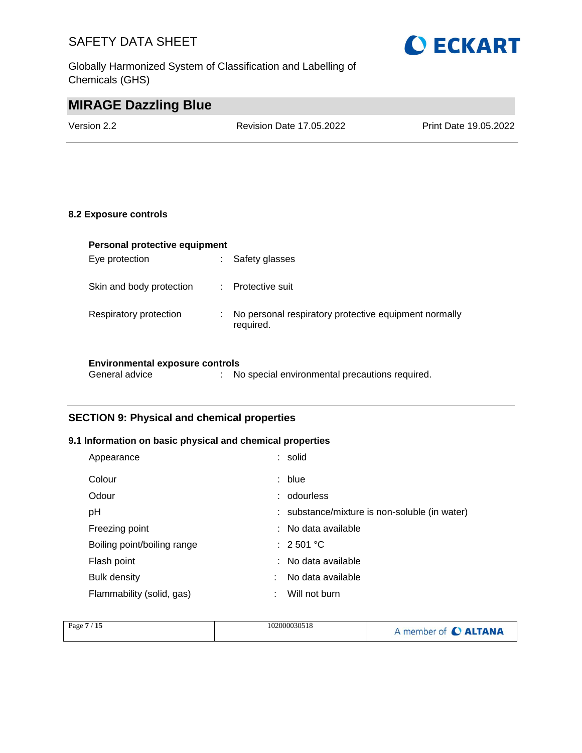Globally Harmonized System of Classification and Labelling of Chemicals (GHS)



# **MIRAGE Dazzling Blue**

Version 2.2 Revision Date 17.05.2022 Print Date 19.05.2022

#### **8.2 Exposure controls**

| Personal protective equipment |   |                                                       |  |  |
|-------------------------------|---|-------------------------------------------------------|--|--|
| Eye protection                | ÷ | Safety glasses                                        |  |  |
|                               |   |                                                       |  |  |
| Skin and body protection      | ÷ | Protective suit                                       |  |  |
|                               |   |                                                       |  |  |
| Respiratory protection        | ÷ | No personal respiratory protective equipment normally |  |  |
|                               |   | required.                                             |  |  |
|                               |   |                                                       |  |  |
|                               |   |                                                       |  |  |

## **Environmental exposure controls**

## **SECTION 9: Physical and chemical properties**

## **9.1 Information on basic physical and chemical properties**

| Appearance                  | : solid                                       |
|-----------------------------|-----------------------------------------------|
| Colour                      | : blue                                        |
| Odour                       | : odourless                                   |
| рH                          | : substance/mixture is non-soluble (in water) |
| Freezing point              | : No data available                           |
| Boiling point/boiling range | $\therefore$ 2.501 °C                         |
| Flash point                 | : No data available                           |
| <b>Bulk density</b>         | No data available                             |
| Flammability (solid, gas)   | Will not burn                                 |

| Page $7/15$ | 102000030518 | A member of C ALTANA |
|-------------|--------------|----------------------|
|             |              |                      |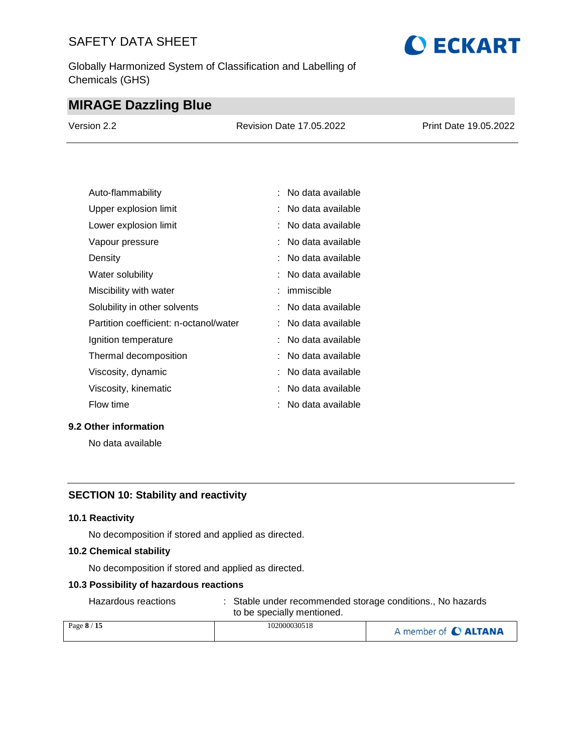Globally Harmonized System of Classification and Labelling of Chemicals (GHS)

# **O ECKART**

# **MIRAGE Dazzling Blue**

| Version 2.2 | Revision Date 17,05,2022 | Print Date 19.05.2022 |
|-------------|--------------------------|-----------------------|
|             |                          |                       |

| Auto-flammability                      | : No data available |
|----------------------------------------|---------------------|
| Upper explosion limit                  | No data available   |
| Lower explosion limit                  | No data available   |
| Vapour pressure                        | No data available   |
| Density                                | No data available   |
| Water solubility                       | No data available   |
| Miscibility with water                 | immiscible          |
| Solubility in other solvents           | No data available   |
| Partition coefficient: n-octanol/water | No data available   |
| Ignition temperature                   | No data available   |
| Thermal decomposition                  | No data available   |
| Viscosity, dynamic                     | No data available   |
| Viscosity, kinematic                   | No data available   |
| Flow time                              | No data available   |

#### **9.2 Other information**

No data available

### **SECTION 10: Stability and reactivity**

#### **10.1 Reactivity**

No decomposition if stored and applied as directed.

#### **10.2 Chemical stability**

No decomposition if stored and applied as directed.

#### **10.3 Possibility of hazardous reactions**

Hazardous reactions : Stable under recommended storage conditions., No hazards to be specially mentioned.

| Page 8 / 15 | 102000030518 | A member of C ALTANA |
|-------------|--------------|----------------------|
|             |              |                      |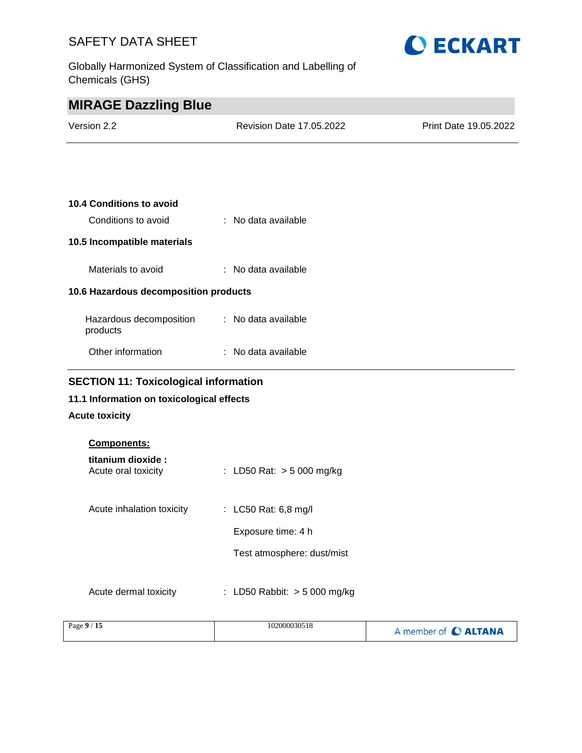Globally Harmonized System of Classification and Labelling of Chemicals (GHS)



| <b>MIRAGE Dazzling Blue</b>                  |                                |                       |
|----------------------------------------------|--------------------------------|-----------------------|
| Version 2.2                                  | Revision Date 17.05.2022       | Print Date 19.05.2022 |
|                                              |                                |                       |
|                                              |                                |                       |
| 10.4 Conditions to avoid                     |                                |                       |
| Conditions to avoid                          | : No data available            |                       |
| 10.5 Incompatible materials                  |                                |                       |
| Materials to avoid                           | $\therefore$ No data available |                       |
| 10.6 Hazardous decomposition products        |                                |                       |
| Hazardous decomposition<br>products          | : No data available            |                       |
| Other information                            | : No data available            |                       |
| <b>SECTION 11: Toxicological information</b> |                                |                       |
| 11.1 Information on toxicological effects    |                                |                       |

## **Acute toxicity**

| <b>Components:</b>                       |                                |
|------------------------------------------|--------------------------------|
| titanium dioxide:<br>Acute oral toxicity | : LD50 Rat: $> 5000$ mg/kg     |
| Acute inhalation toxicity                | : LC50 Rat: 6,8 mg/l           |
|                                          | Exposure time: 4 h             |
|                                          | Test atmosphere: dust/mist     |
| Acute dermal toxicity                    | : LD50 Rabbit: $>$ 5 000 mg/kg |

| Page $9/15$ | 102000030518 | A member of C ALTANA |
|-------------|--------------|----------------------|
|-------------|--------------|----------------------|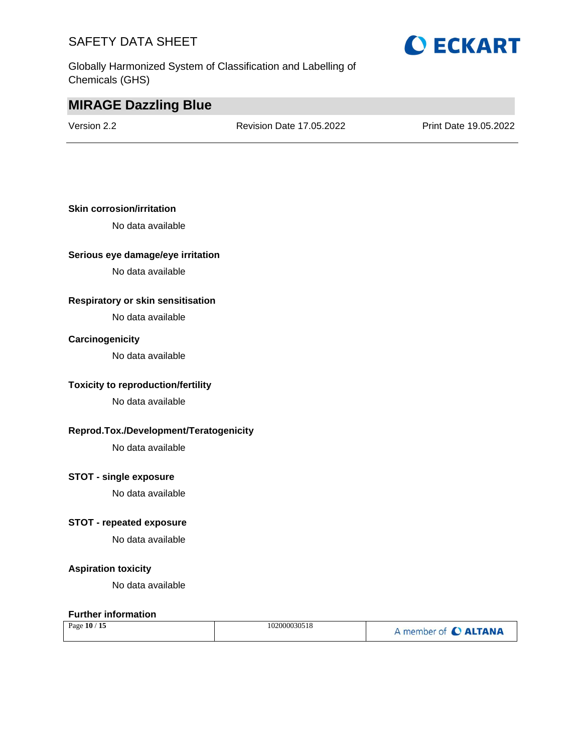Globally Harmonized System of Classification and Labelling of Chemicals (GHS)

# **O ECKART**

# **MIRAGE Dazzling Blue**

Version 2.2 Revision Date 17.05.2022 Print Date 19.05.2022

## **Skin corrosion/irritation**

No data available

#### **Serious eye damage/eye irritation**

No data available

### **Respiratory or skin sensitisation**

No data available

#### **Carcinogenicity**

No data available

#### **Toxicity to reproduction/fertility**

No data available

#### **Reprod.Tox./Development/Teratogenicity**

No data available

#### **STOT - single exposure**

No data available

## **STOT - repeated exposure**

No data available

#### **Aspiration toxicity**

No data available

#### **Further information**

| Page 10 / 15 | 102000030518 | A member of C ALTANA |
|--------------|--------------|----------------------|
|--------------|--------------|----------------------|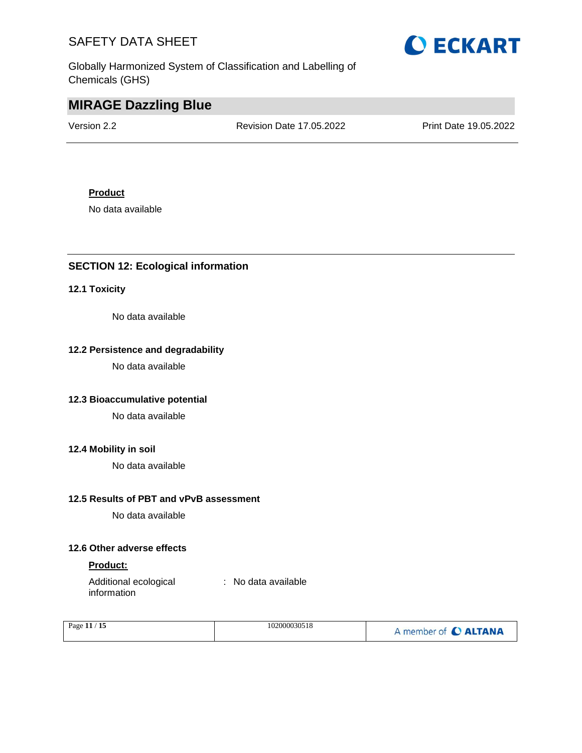Globally Harmonized System of Classification and Labelling of Chemicals (GHS)



# **MIRAGE Dazzling Blue**

Version 2.2 Revision Date 17.05.2022 Print Date 19.05.2022

## **Product**

No data available

# **SECTION 12: Ecological information**

## **12.1 Toxicity**

No data available

## **12.2 Persistence and degradability**

No data available

## **12.3 Bioaccumulative potential**

No data available

#### **12.4 Mobility in soil**

No data available

## **12.5 Results of PBT and vPvB assessment**

No data available

## **12.6 Other adverse effects**

#### **Product:**

Additional ecological information : No data available

| Page 11 / 15 | 102000030518 | A member of C ALTANA |
|--------------|--------------|----------------------|
|              |              |                      |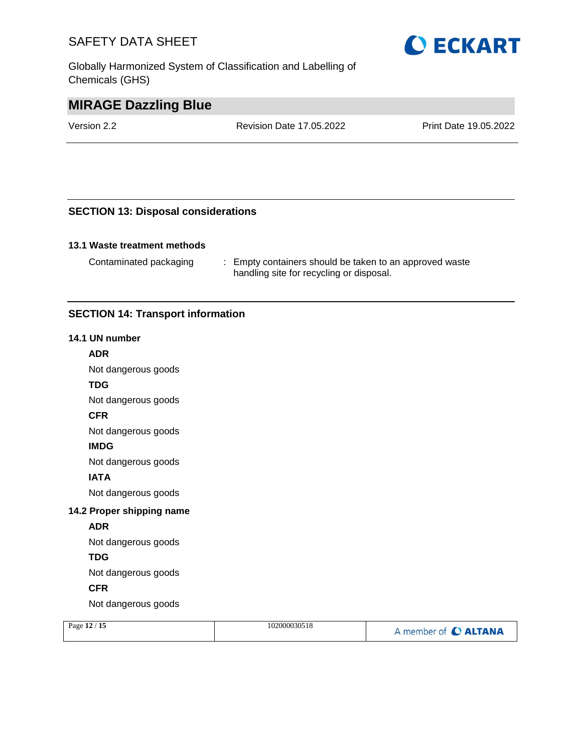Globally Harmonized System of Classification and Labelling of Chemicals (GHS)



# **MIRAGE Dazzling Blue**

Version 2.2 Revision Date 17.05.2022 Print Date 19.05.2022

## **SECTION 13: Disposal considerations**

## **13.1 Waste treatment methods**

Contaminated packaging : Empty containers should be taken to an approved waste handling site for recycling or disposal.

## **SECTION 14: Transport information**

#### **14.1 UN number**

#### **ADR**

Not dangerous goods

#### **TDG**

Not dangerous goods

#### **CFR**

Not dangerous goods

#### **IMDG**

Not dangerous goods

#### **IATA**

Not dangerous goods

#### **14.2 Proper shipping name**

#### **ADR**

Not dangerous goods

#### **TDG**

Not dangerous goods

## **CFR**

Not dangerous goods

| Page 12 / 15 | 102000030518 | A member of C ALTANA |
|--------------|--------------|----------------------|
|              |              |                      |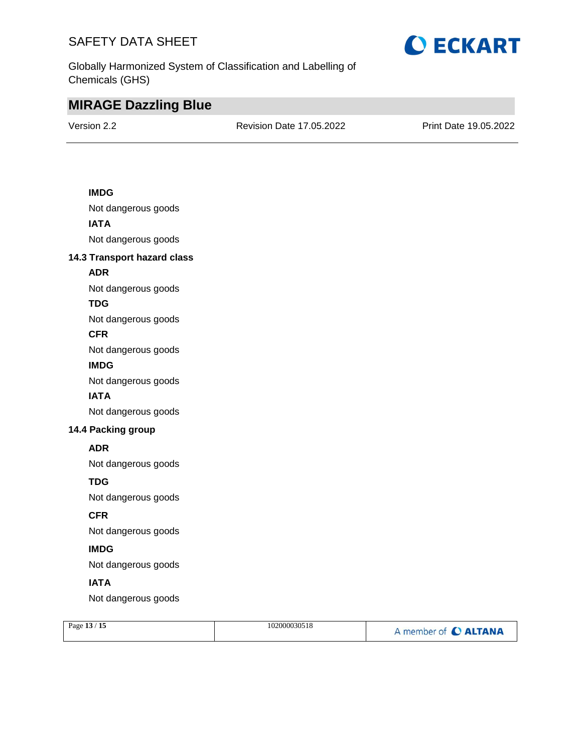

Globally Harmonized System of Classification and Labelling of Chemicals (GHS)

# **MIRAGE Dazzling Blue**

Version 2.2 Revision Date 17.05.2022 Print Date 19.05.2022

## **IMDG**

Not dangerous goods **IATA** Not dangerous goods

### **14.3 Transport hazard class**

## **ADR**

Not dangerous goods

## **TDG**

Not dangerous goods

#### **CFR**

Not dangerous goods

#### **IMDG**

Not dangerous goods

### **IATA**

Not dangerous goods

## **14.4 Packing group**

### **ADR**

Not dangerous goods

## **TDG**

Not dangerous goods

## **CFR**

Not dangerous goods

# **IMDG**

Not dangerous goods

## **IATA**

Not dangerous goods

| Page 13 / 15 | 102000030518 | A member of C ALTANA |
|--------------|--------------|----------------------|
|              |              |                      |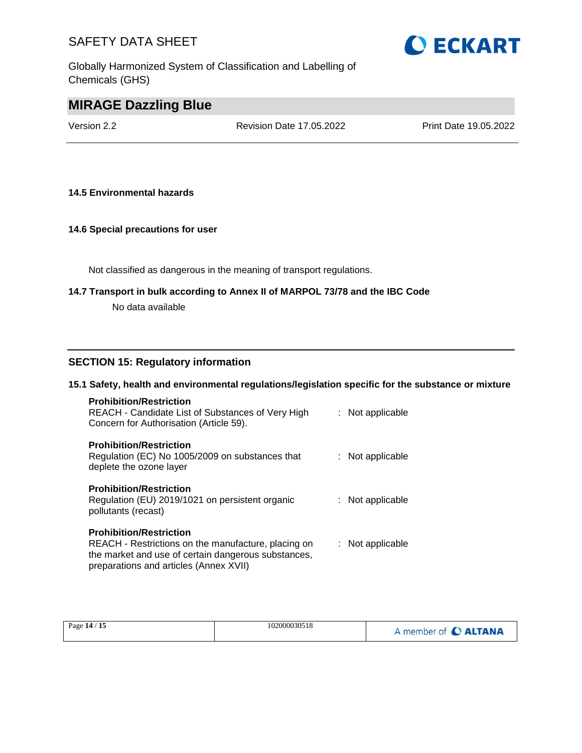Globally Harmonized System of Classification and Labelling of Chemicals (GHS)



# **MIRAGE Dazzling Blue**

Version 2.2 Revision Date 17.05.2022 Print Date 19.05.2022

#### **14.5 Environmental hazards**

#### **14.6 Special precautions for user**

Not classified as dangerous in the meaning of transport regulations.

#### **14.7 Transport in bulk according to Annex II of MARPOL 73/78 and the IBC Code**

No data available

### **SECTION 15: Regulatory information**

#### **15.1 Safety, health and environmental regulations/legislation specific for the substance or mixture**

| <b>Prohibition/Restriction</b><br>REACH - Candidate List of Substances of Very High<br>Concern for Authorisation (Article 59).               | : Not applicable |
|----------------------------------------------------------------------------------------------------------------------------------------------|------------------|
| <b>Prohibition/Restriction</b><br>Regulation (EC) No 1005/2009 on substances that<br>deplete the ozone layer                                 | : Not applicable |
| <b>Prohibition/Restriction</b><br>Regulation (EU) 2019/1021 on persistent organic<br>pollutants (recast)                                     | : Not applicable |
| <b>Prohibition/Restriction</b><br>REACH - Restrictions on the manufacture, placing on<br>the market and use of certain dangerous substances, | : Not applicable |

preparations and articles (Annex XVII)

| Page 14 / 15 | 102000030518 | A member of C ALTANA |
|--------------|--------------|----------------------|
|--------------|--------------|----------------------|